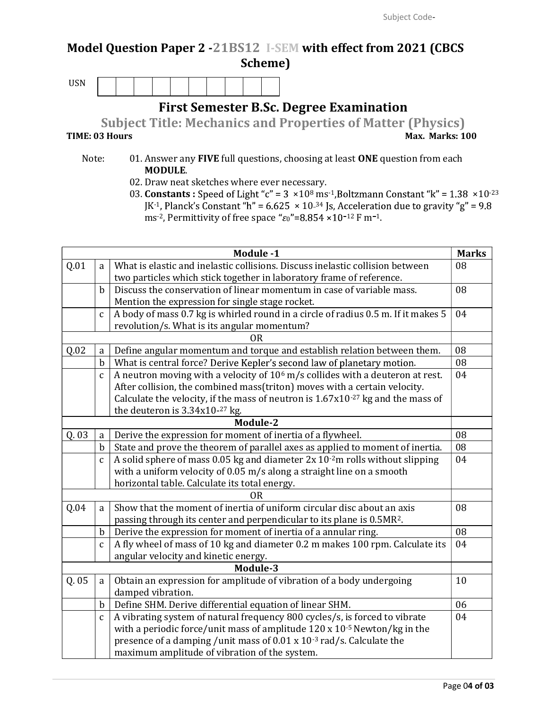## Model Question Paper 2 -21BS12 I-SEM with effect from 2021 (CBCS Scheme)

USN

First Semester B.Sc. Degree Examination

Subject Title: Mechanics and Properties of Matter (Physics) TIME: 03 Hours **Max. Marks: 100** 

- Note: 01. Answer any FIVE full questions, choosing at least ONE question from each MODULE.
	- 02. Draw neat sketches where ever necessary.
	- 03. Constants : Speed of Light "c" =  $3 \times 10^8$  ms<sup>-1</sup>, Boltzmann Constant "k" =  $1.38 \times 10^{-23}$ JK<sup>-1</sup>, Planck's Constant "h" =  $6.625 \times 10^{-34}$  Js, Acceleration due to gravity "g" =  $9.8$ ms<sup>-2</sup>, Permittivity of free space " $\varepsilon_0$ "=8.854 ×10<sup>-12</sup> F m<sup>-1</sup>.

|          |                                                                                      | Module -1                                                                                 | <b>Marks</b> |  |  |  |
|----------|--------------------------------------------------------------------------------------|-------------------------------------------------------------------------------------------|--------------|--|--|--|
| Q.01     | a                                                                                    | What is elastic and inelastic collisions. Discuss inelastic collision between             |              |  |  |  |
|          |                                                                                      | two particles which stick together in laboratory frame of reference.<br>08                |              |  |  |  |
|          | Discuss the conservation of linear momentum in case of variable mass.<br>$\mathbf b$ |                                                                                           |              |  |  |  |
|          |                                                                                      | Mention the expression for single stage rocket.                                           |              |  |  |  |
|          | $\mathbf{C}$                                                                         | A body of mass 0.7 kg is whirled round in a circle of radius 0.5 m. If it makes 5         |              |  |  |  |
|          |                                                                                      | revolution/s. What is its angular momentum?                                               |              |  |  |  |
|          |                                                                                      | ΟR                                                                                        |              |  |  |  |
| Q.02     | a                                                                                    | Define angular momentum and torque and establish relation between them.                   | 08           |  |  |  |
|          | b                                                                                    | What is central force? Derive Kepler's second law of planetary motion.                    | 08           |  |  |  |
|          | $\mathbf{C}$                                                                         | A neutron moving with a velocity of 10 <sup>6</sup> m/s collides with a deuteron at rest. | 04           |  |  |  |
|          | After collision, the combined mass(triton) moves with a certain velocity.            |                                                                                           |              |  |  |  |
|          |                                                                                      | Calculate the velocity, if the mass of neutron is $1.67x10^{-27}$ kg and the mass of      |              |  |  |  |
|          |                                                                                      | the deuteron is $3.34x10-27$ kg.                                                          |              |  |  |  |
| Module-2 |                                                                                      |                                                                                           |              |  |  |  |
| Q.03     | a                                                                                    | Derive the expression for moment of inertia of a flywheel.                                | 08           |  |  |  |
|          | $\mathbf b$                                                                          | State and prove the theorem of parallel axes as applied to moment of inertia.             | 08           |  |  |  |
|          | $\mathbf{C}$                                                                         | A solid sphere of mass 0.05 kg and diameter $2x$ 10 $\cdot$ 2m rolls without slipping     | 04           |  |  |  |
|          |                                                                                      | with a uniform velocity of 0.05 m/s along a straight line on a smooth                     |              |  |  |  |
|          |                                                                                      | horizontal table. Calculate its total energy.                                             |              |  |  |  |
|          |                                                                                      | 0 <sub>R</sub>                                                                            |              |  |  |  |
| Q.04     | a                                                                                    | Show that the moment of inertia of uniform circular disc about an axis                    | 08           |  |  |  |
|          |                                                                                      | passing through its center and perpendicular to its plane is 0.5MR <sup>2</sup> .         |              |  |  |  |
|          | $\mathbf b$                                                                          | Derive the expression for moment of inertia of a annular ring.                            | 08           |  |  |  |
|          | $\mathbf c$                                                                          | A fly wheel of mass of 10 kg and diameter 0.2 m makes 100 rpm. Calculate its              | 04           |  |  |  |
|          |                                                                                      | angular velocity and kinetic energy.                                                      |              |  |  |  |
| Module-3 |                                                                                      |                                                                                           |              |  |  |  |
| Q.05     | a                                                                                    | Obtain an expression for amplitude of vibration of a body undergoing                      | 10           |  |  |  |
|          |                                                                                      | damped vibration.                                                                         |              |  |  |  |
|          | $\mathbf b$                                                                          | Define SHM. Derive differential equation of linear SHM.                                   | 06           |  |  |  |
|          | $\mathbf{c}$                                                                         | A vibrating system of natural frequency 800 cycles/s, is forced to vibrate                | 04           |  |  |  |
|          |                                                                                      | with a periodic force/unit mass of amplitude $120 \times 10^{-5}$ Newton/kg in the        |              |  |  |  |
|          |                                                                                      | presence of a damping /unit mass of 0.01 x 10 <sup>-3</sup> rad/s. Calculate the          |              |  |  |  |
|          |                                                                                      | maximum amplitude of vibration of the system.                                             |              |  |  |  |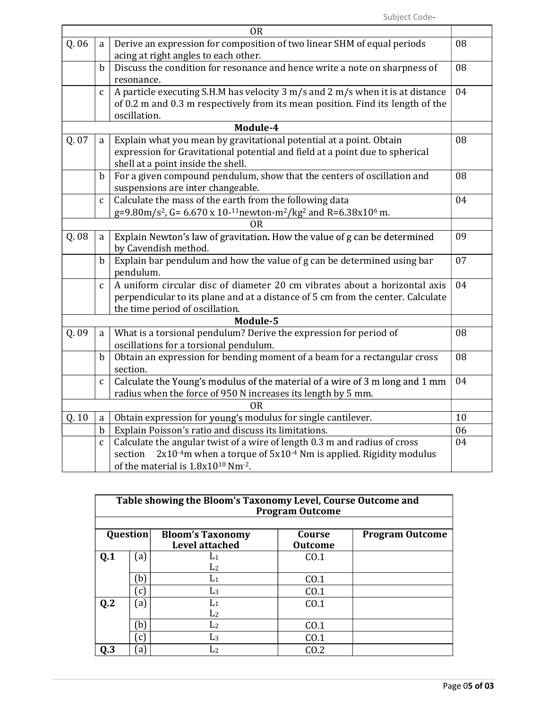|       |                                                                                                                                                                                                  | <b>OR</b>                                                                                                                                                                                        |    |  |  |  |
|-------|--------------------------------------------------------------------------------------------------------------------------------------------------------------------------------------------------|--------------------------------------------------------------------------------------------------------------------------------------------------------------------------------------------------|----|--|--|--|
| Q. 06 | Derive an expression for composition of two linear SHM of equal periods<br>a<br>acing at right angles to each other.                                                                             |                                                                                                                                                                                                  |    |  |  |  |
|       | Discuss the condition for resonance and hence write a note on sharpness of<br>b<br>resonance.                                                                                                    |                                                                                                                                                                                                  |    |  |  |  |
|       | A particle executing S.H.M has velocity 3 m/s and 2 m/s when it is at distance<br>$\mathbf{C}$<br>of 0.2 m and 0.3 m respectively from its mean position. Find its length of the<br>oscillation. |                                                                                                                                                                                                  |    |  |  |  |
|       |                                                                                                                                                                                                  | Module-4                                                                                                                                                                                         |    |  |  |  |
| Q. 07 | Explain what you mean by gravitational potential at a point. Obtain<br>a<br>expression for Gravitational potential and field at a point due to spherical<br>shell at a point inside the shell.   |                                                                                                                                                                                                  | 08 |  |  |  |
|       | $\mathbf b$                                                                                                                                                                                      | For a given compound pendulum, show that the centers of oscillation and<br>suspensions are inter changeable.                                                                                     | 08 |  |  |  |
|       | $\mathbf{C}$                                                                                                                                                                                     | Calculate the mass of the earth from the following data<br>g=9.80m/s <sup>2</sup> , G= 6.670 x 10- <sup>11</sup> newton-m <sup>2</sup> /kg <sup>2</sup> and R=6.38x10 <sup>6</sup> m.            | 04 |  |  |  |
|       | 0R                                                                                                                                                                                               |                                                                                                                                                                                                  |    |  |  |  |
| Q.08  | a                                                                                                                                                                                                | Explain Newton's law of gravitation. How the value of g can be determined<br>by Cavendish method.                                                                                                | 09 |  |  |  |
|       | $\mathbf b$                                                                                                                                                                                      | Explain bar pendulum and how the value of g can be determined using bar<br>pendulum.                                                                                                             | 07 |  |  |  |
|       | $\mathbf{C}$                                                                                                                                                                                     | A uniform circular disc of diameter 20 cm vibrates about a horizontal axis<br>perpendicular to its plane and at a distance of 5 cm from the center. Calculate<br>the time period of oscillation. | 04 |  |  |  |
|       |                                                                                                                                                                                                  | Module-5                                                                                                                                                                                         |    |  |  |  |
| Q.09  | a                                                                                                                                                                                                | What is a torsional pendulum? Derive the expression for period of<br>oscillations for a torsional pendulum.                                                                                      | 08 |  |  |  |
|       | $\mathbf b$                                                                                                                                                                                      | Obtain an expression for bending moment of a beam for a rectangular cross<br>section.                                                                                                            | 08 |  |  |  |
|       | $\mathbf{C}$                                                                                                                                                                                     | Calculate the Young's modulus of the material of a wire of 3 m long and 1 mm<br>radius when the force of 950 N increases its length by 5 mm.                                                     | 04 |  |  |  |
|       |                                                                                                                                                                                                  | <b>OR</b>                                                                                                                                                                                        |    |  |  |  |
| Q.10  | Obtain expression for young's modulus for single cantilever.<br>a                                                                                                                                |                                                                                                                                                                                                  |    |  |  |  |
|       | $\mathbf b$                                                                                                                                                                                      | Explain Poisson's ratio and discuss its limitations.                                                                                                                                             | 06 |  |  |  |
|       | $\mathbf{C}$                                                                                                                                                                                     | Calculate the angular twist of a wire of length 0.3 m and radius of cross<br>$2x10-4m$ when a torque of $5x10-4$ Nm is applied. Rigidity modulus<br>section                                      | 04 |  |  |  |
|       |                                                                                                                                                                                                  | of the material is 1.8x10 <sup>10</sup> Nm <sup>-2</sup> .                                                                                                                                       |    |  |  |  |

| Table showing the Bloom's Taxonomy Level, Course Outcome and<br><b>Program Outcome</b> |                   |                                           |                          |                        |  |  |  |
|----------------------------------------------------------------------------------------|-------------------|-------------------------------------------|--------------------------|------------------------|--|--|--|
| <b>Question</b>                                                                        |                   | <b>Bloom's Taxonomy</b><br>Level attached | Course<br><b>Outcome</b> | <b>Program Outcome</b> |  |  |  |
| 0.1                                                                                    | $\left[ a\right]$ | L1                                        | CO.1                     |                        |  |  |  |
|                                                                                        |                   | L <sub>2</sub>                            |                          |                        |  |  |  |
|                                                                                        | b)                | L1                                        | CO.1                     |                        |  |  |  |
|                                                                                        | $\epsilon$ )      | L3                                        | CO.1                     |                        |  |  |  |
| Q.2                                                                                    | $\left[ a\right]$ | L1                                        | CO.1                     |                        |  |  |  |
|                                                                                        |                   | L <sub>2</sub>                            |                          |                        |  |  |  |
|                                                                                        | b)                | L <sub>2</sub>                            | CO.1                     |                        |  |  |  |
|                                                                                        | $\epsilon$ )      | L <sub>3</sub>                            | CO.1                     |                        |  |  |  |
| 0.3                                                                                    | a)                | L2                                        | CO.2                     |                        |  |  |  |